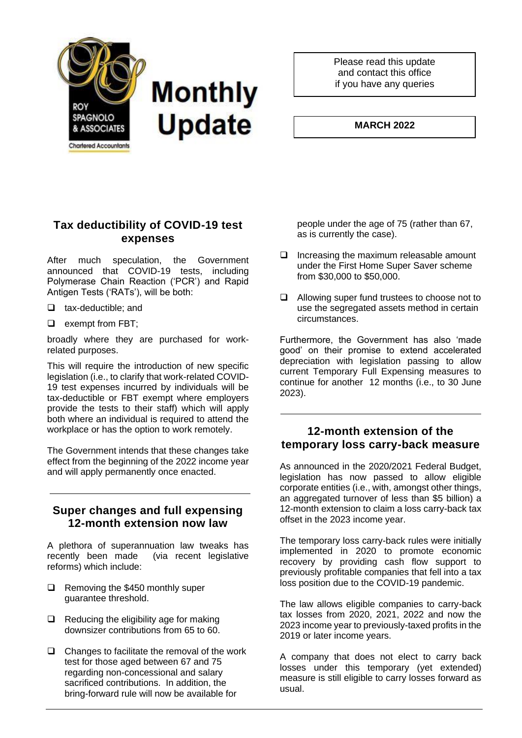

Please read this update and contact this office if you have any queries

#### **MARCH 2022**

## **Tax deductibility of COVID-19 test expenses**

After much speculation, the Government announced that COVID-19 tests, including Polymerase Chain Reaction ('PCR') and Rapid Antigen Tests ('RATs'), will be both:

- ❑ tax-deductible; and
- ❑ exempt from FBT;

broadly where they are purchased for workrelated purposes.

This will require the introduction of new specific legislation (i.e., to clarify that work-related COVID-19 test expenses incurred by individuals will be tax-deductible or FBT exempt where employers provide the tests to their staff) which will apply both where an individual is required to attend the workplace or has the option to work remotely.

The Government intends that these changes take effect from the beginning of the 2022 income year and will apply permanently once enacted.

### **Super changes and full expensing 12-month extension now law**

A plethora of superannuation law tweaks has recently been made (via recent legislative reforms) which include:

- ❑ Removing the \$450 monthly super guarantee threshold.
- ❑ Reducing the eligibility age for making downsizer contributions from 65 to 60.
- ❑ Changes to facilitate the removal of the work test for those aged between 67 and 75 regarding non-concessional and salary sacrificed contributions. In addition, the bring-forward rule will now be available for

people under the age of 75 (rather than 67, as is currently the case).

- ❑ Increasing the maximum releasable amount under the First Home Super Saver scheme from \$30,000 to \$50,000.
- ❑ Allowing super fund trustees to choose not to use the segregated assets method in certain circumstances.

Furthermore, the Government has also 'made good' on their promise to extend accelerated depreciation with legislation passing to allow current Temporary Full Expensing measures to continue for another 12 months (i.e., to 30 June 2023).

#### **12-month extension of the temporary loss carry-back measure**

As announced in the 2020/2021 Federal Budget, legislation has now passed to allow eligible corporate entities (i.e., with, amongst other things, an aggregated turnover of less than \$5 billion) a 12-month extension to claim a loss carry-back tax offset in the 2023 income year.

The temporary loss carry-back rules were initially implemented in 2020 to promote economic recovery by providing cash flow support to previously profitable companies that fell into a tax loss position due to the COVID-19 pandemic.

The law allows eligible companies to carry-back tax losses from 2020, 2021, 2022 and now the 2023 income year to previously-taxed profits in the 2019 or later income years.

A company that does not elect to carry back losses under this temporary (yet extended) measure is still eligible to carry losses forward as usual.